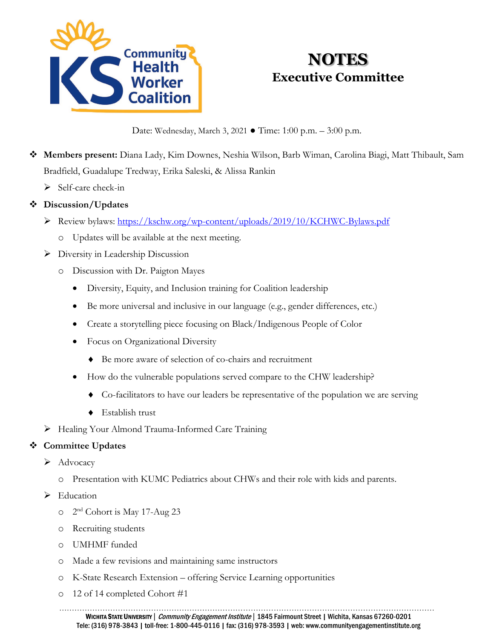

# **NOTES Executive Committee**

Date: Wednesday, March 3, 2021 ● Time: 1:00 p.m. – 3:00 p.m.

- **Members present:** Diana Lady, Kim Downes, Neshia Wilson, Barb Wiman, Carolina Biagi, Matt Thibault, Sam Bradfield, Guadalupe Tredway, Erika Saleski, & Alissa Rankin
	- $\triangleright$  Self-care check-in

# **Discussion/Updates**

- P Review bylaws:<https://kschw.org/wp-content/uploads/2019/10/KCHWC-Bylaws.pdf>
	- o Updates will be available at the next meeting.
- Diversity in Leadership Discussion
	- o Discussion with Dr. Paigton Mayes
		- Diversity, Equity, and Inclusion training for Coalition leadership
		- Be more universal and inclusive in our language (e.g., gender differences, etc.)
		- Create a storytelling piece focusing on Black/Indigenous People of Color
		- Focus on Organizational Diversity
			- ♦ Be more aware of selection of co-chairs and recruitment
		- How do the vulnerable populations served compare to the CHW leadership?
			- ♦ Co-facilitators to have our leaders be representative of the population we are serving
			- ♦ Establish trust
- > Healing Your Almond Trauma-Informed Care Training

# **Committee Updates**

- $\blacktriangleright$  Advocacy
	- o Presentation with KUMC Pediatrics about CHWs and their role with kids and parents.
- $\blacktriangleright$  Education
	- o 2nd Cohort is May 17-Aug 23
	- o Recruiting students
	- o UMHMF funded
	- o Made a few revisions and maintaining same instructors
	- o K-State Research Extension offering Service Learning opportunities
	- o 12 of 14 completed Cohort #1